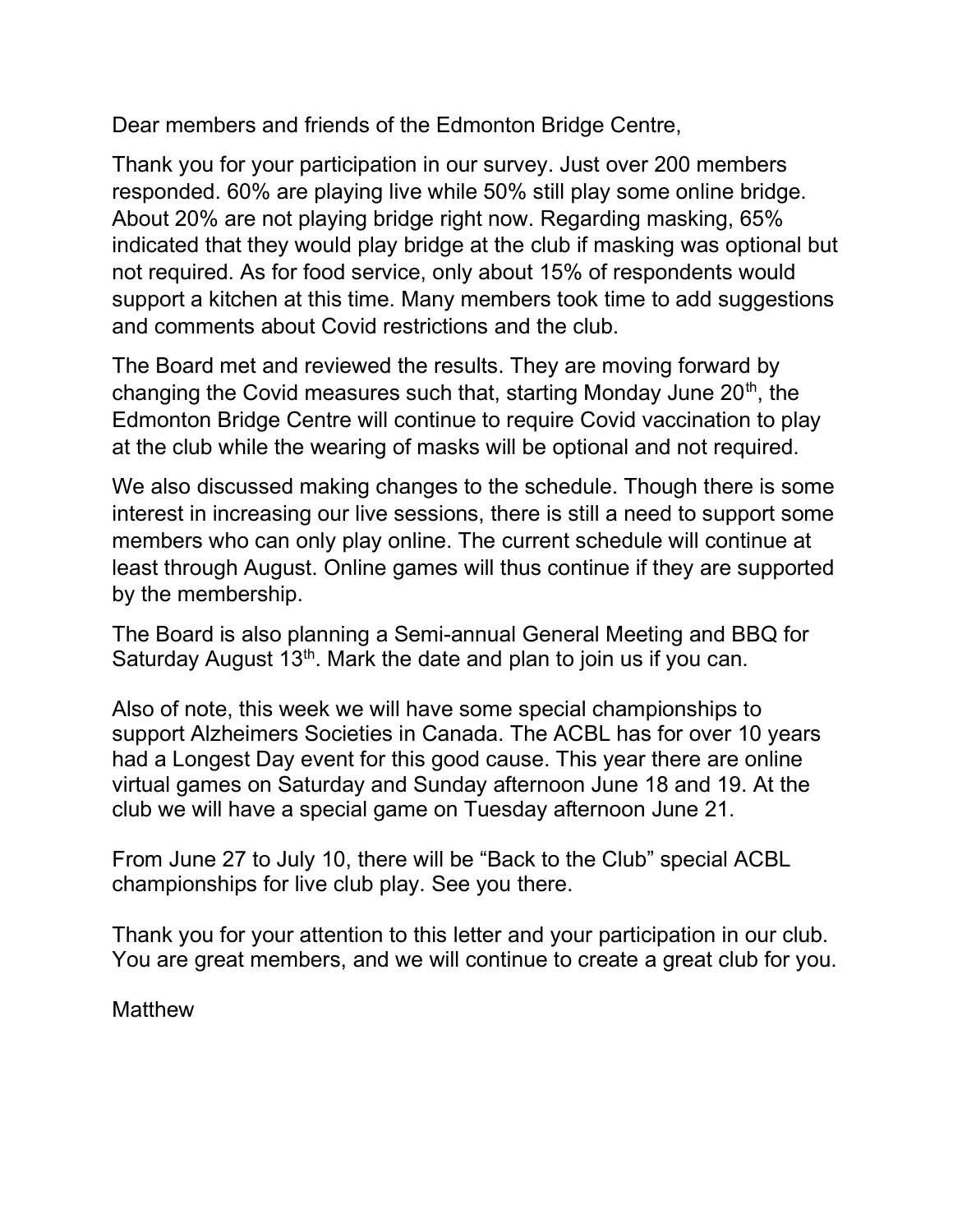Dear members and friends of the Edmonton Bridge Centre,

Thank you for your participation in our survey. Just over 200 members responded. 60% are playing live while 50% still play some online bridge. About 20% are not playing bridge right now. Regarding masking, 65% indicated that they would play bridge at the club if masking was optional but not required. As for food service, only about 15% of respondents would support a kitchen at this time. Many members took time to add suggestions and comments about Covid restrictions and the club.

The Board met and reviewed the results. They are moving forward by changing the Covid measures such that, starting Monday June  $20<sup>th</sup>$ , the Edmonton Bridge Centre will continue to require Covid vaccination to play at the club while the wearing of masks will be optional and not required.

We also discussed making changes to the schedule. Though there is some interest in increasing our live sessions, there is still a need to support some members who can only play online. The current schedule will continue at least through August. Online games will thus continue if they are supported by the membership.

The Board is also planning a Semi-annual General Meeting and BBQ for Saturday August  $13<sup>th</sup>$ . Mark the date and plan to join us if you can.

Also of note, this week we will have some special championships to support Alzheimers Societies in Canada. The ACBL has for over 10 years had a Longest Day event for this good cause. This year there are online virtual games on Saturday and Sunday afternoon June 18 and 19. At the club we will have a special game on Tuesday afternoon June 21.

From June 27 to July 10, there will be "Back to the Club" special ACBL championships for live club play. See you there.

Thank you for your attention to this letter and your participation in our club. You are great members, and we will continue to create a great club for you.

**Matthew**